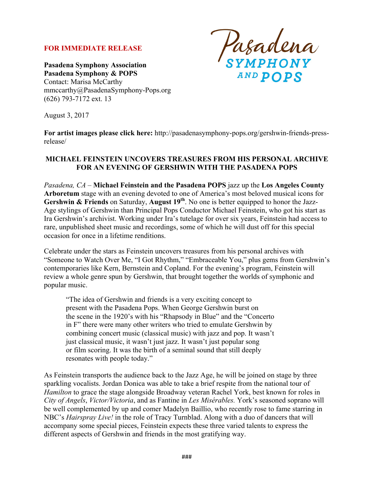#### **FOR IMMEDIATE RELEASE**

**Pasadena Symphony Association Pasadena Symphony & POPS** Contact: Marisa McCarthy mmccarthy@PasadenaSymphony-Pops.org (626) 793-7172 ext. 13

Pasadena<br>symphony **AND POPS** 

August 3, 2017

**For artist images please click here:** http://pasadenasymphony-pops.org/gershwin-friends-pressrelease/

#### **MICHAEL FEINSTEIN UNCOVERS TREASURES FROM HIS PERSONAL ARCHIVE FOR AN EVENING OF GERSHWIN WITH THE PASADENA POPS**

*Pasadena, CA –* **Michael Feinstein and the Pasadena POPS** jazz up the **Los Angeles County Arboretum** stage with an evening devoted to one of America's most beloved musical icons for Gershwin & Friends on Saturday, August 19<sup>th</sup>. No one is better equipped to honor the Jazz-Age stylings of Gershwin than Principal Pops Conductor Michael Feinstein, who got his start as Ira Gershwin's archivist. Working under Ira's tutelage for over six years, Feinstein had access to rare, unpublished sheet music and recordings, some of which he will dust off for this special occasion for once in a lifetime renditions.

Celebrate under the stars as Feinstein uncovers treasures from his personal archives with "Someone to Watch Over Me, "I Got Rhythm," "Embraceable You," plus gems from Gershwin's contemporaries like Kern, Bernstein and Copland. For the evening's program, Feinstein will review a whole genre spun by Gershwin, that brought together the worlds of symphonic and popular music.

"The idea of Gershwin and friends is a very exciting concept to present with the Pasadena Pops. When George Gershwin burst on the scene in the 1920's with his "Rhapsody in Blue" and the "Concerto in F" there were many other writers who tried to emulate Gershwin by combining concert music (classical music) with jazz and pop. It wasn't just classical music, it wasn't just jazz. It wasn't just popular song or film scoring. It was the birth of a seminal sound that still deeply resonates with people today."

As Feinstein transports the audience back to the Jazz Age, he will be joined on stage by three sparkling vocalists. Jordan Donica was able to take a brief respite from the national tour of *Hamilton* to grace the stage alongside Broadway veteran Rachel York, best known for roles in *City of Angels*, *Victor/Victoria*, and as Fantine in *Les Misérables.* York's seasoned soprano will be well complemented by up and comer Madelyn Baillio, who recently rose to fame starring in NBC's *Hairspray Live!* in the role of Tracy Turnblad. Along with a duo of dancers that will accompany some special pieces, Feinstein expects these three varied talents to express the different aspects of Gershwin and friends in the most gratifying way.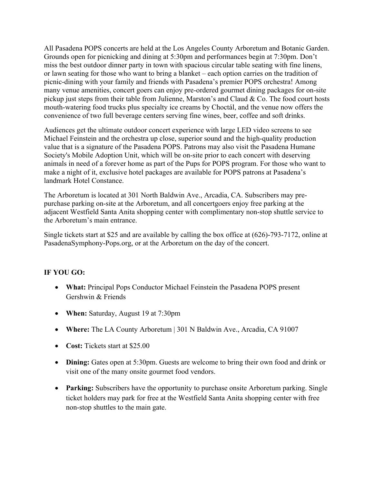All Pasadena POPS concerts are held at the Los Angeles County Arboretum and Botanic Garden. Grounds open for picnicking and dining at 5:30pm and performances begin at 7:30pm. Don't miss the best outdoor dinner party in town with spacious circular table seating with fine linens, or lawn seating for those who want to bring a blanket – each option carries on the tradition of picnic-dining with your family and friends with Pasadena's premier POPS orchestra! Among many venue amenities, concert goers can enjoy pre-ordered gourmet dining packages for on-site pickup just steps from their table from Julienne, Marston's and Claud & Co. The food court hosts mouth-watering food trucks plus specialty ice creams by Choctál, and the venue now offers the convenience of two full beverage centers serving fine wines, beer, coffee and soft drinks.

Audiences get the ultimate outdoor concert experience with large LED video screens to see Michael Feinstein and the orchestra up close, superior sound and the high-quality production value that is a signature of the Pasadena POPS. Patrons may also visit the Pasadena Humane Society's Mobile Adoption Unit, which will be on-site prior to each concert with deserving animals in need of a forever home as part of the Pups for POPS program. For those who want to make a night of it, exclusive hotel packages are available for POPS patrons at Pasadena's landmark Hotel Constance.

The Arboretum is located at 301 North Baldwin Ave., Arcadia, CA. Subscribers may prepurchase parking on-site at the Arboretum, and all concertgoers enjoy free parking at the adjacent Westfield Santa Anita shopping center with complimentary non-stop shuttle service to the Arboretum's main entrance.

Single tickets start at \$25 and are available by calling the box office at (626)-793-7172, online at PasadenaSymphony-Pops.org, or at the Arboretum on the day of the concert.

## **IF YOU GO:**

- **What:** Principal Pops Conductor Michael Feinstein the Pasadena POPS present Gershwin & Friends
- **When:** Saturday, August 19 at 7:30pm
- **Where:** The LA County Arboretum | 301 N Baldwin Ave., Arcadia, CA 91007
- **Cost:** Tickets start at \$25.00
- **Dining:** Gates open at 5:30pm. Guests are welcome to bring their own food and drink or visit one of the many onsite gourmet food vendors.
- **Parking:** Subscribers have the opportunity to purchase onsite Arboretum parking. Single ticket holders may park for free at the Westfield Santa Anita shopping center with free non-stop shuttles to the main gate.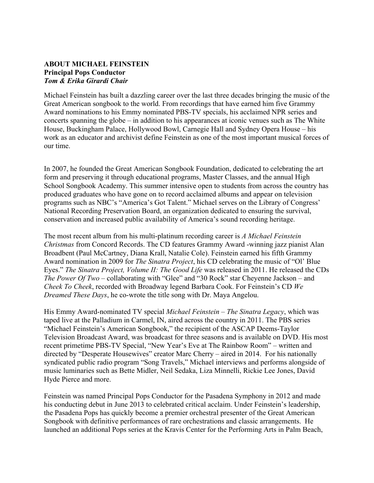## **ABOUT MICHAEL FEINSTEIN Principal Pops Conductor** *Tom & Erika Girardi Chair*

Michael Feinstein has built a dazzling career over the last three decades bringing the music of the Great American songbook to the world. From recordings that have earned him five Grammy Award nominations to his Emmy nominated PBS-TV specials, his acclaimed NPR series and concerts spanning the globe – in addition to his appearances at iconic venues such as The White House, Buckingham Palace, Hollywood Bowl, Carnegie Hall and Sydney Opera House – his work as an educator and archivist define Feinstein as one of the most important musical forces of our time.

In 2007, he founded the Great American Songbook Foundation, dedicated to celebrating the art form and preserving it through educational programs, Master Classes, and the annual High School Songbook Academy. This summer intensive open to students from across the country has produced graduates who have gone on to record acclaimed albums and appear on television programs such as NBC's "America's Got Talent." Michael serves on the Library of Congress' National Recording Preservation Board, an organization dedicated to ensuring the survival, conservation and increased public availability of America's sound recording heritage.

The most recent album from his multi-platinum recording career is *A Michael Feinstein Christmas* from Concord Records. The CD features Grammy Award -winning jazz pianist Alan Broadbent (Paul McCartney, Diana Krall, Natalie Cole). Feinstein earned his fifth Grammy Award nomination in 2009 for *The Sinatra Project*, his CD celebrating the music of "Ol' Blue Eyes." *The Sinatra Project, Volume II: The Good Life* was released in 2011. He released the CDs *The Power Of Two* – collaborating with "Glee" and "30 Rock" star Cheyenne Jackson – and *Cheek To Cheek*, recorded with Broadway legend Barbara Cook. For Feinstein's CD *We Dreamed These Days*, he co-wrote the title song with Dr. Maya Angelou.

His Emmy Award-nominated TV special *Michael Feinstein – The Sinatra Legacy*, which was taped live at the Palladium in Carmel, IN, aired across the country in 2011. The PBS series "Michael Feinstein's American Songbook," the recipient of the ASCAP Deems-Taylor Television Broadcast Award, was broadcast for three seasons and is available on DVD. His most recent primetime PBS-TV Special, "New Year's Eve at The Rainbow Room" *–* written and directed by "Desperate Housewives" creator Marc Cherry *–* aired in 2014. For his nationally syndicated public radio program "Song Travels," Michael interviews and performs alongside of music luminaries such as Bette Midler, Neil Sedaka, Liza Minnelli, Rickie Lee Jones, David Hyde Pierce and more.

Feinstein was named Principal Pops Conductor for the Pasadena Symphony in 2012 and made his conducting debut in June 2013 to celebrated critical acclaim. Under Feinstein's leadership, the Pasadena Pops has quickly become a premier orchestral presenter of the Great American Songbook with definitive performances of rare orchestrations and classic arrangements. He launched an additional Pops series at the Kravis Center for the Performing Arts in Palm Beach,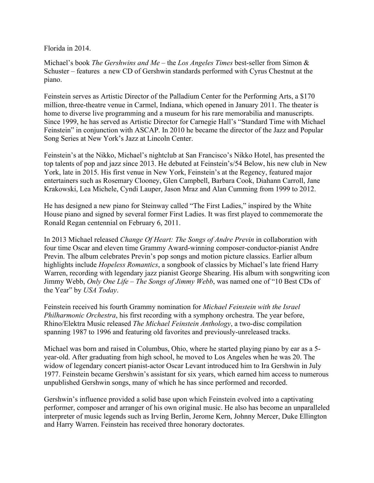Florida in 2014.

Michael's book *The Gershwins and Me* – the *Los Angeles Times* best-seller from Simon & Schuster – features a new CD of Gershwin standards performed with Cyrus Chestnut at the piano.

Feinstein serves as Artistic Director of the Palladium Center for the Performing Arts, a \$170 million, three-theatre venue in Carmel, Indiana, which opened in January 2011. The theater is home to diverse live programming and a museum for his rare memorabilia and manuscripts. Since 1999, he has served as Artistic Director for Carnegie Hall's "Standard Time with Michael Feinstein" in conjunction with ASCAP. In 2010 he became the director of the Jazz and Popular Song Series at New York's Jazz at Lincoln Center.

Feinstein's at the Nikko, Michael's nightclub at San Francisco's Nikko Hotel, has presented the top talents of pop and jazz since 2013. He debuted at Feinstein's/54 Below, his new club in New York, late in 2015. His first venue in New York, Feinstein's at the Regency, featured major entertainers such as Rosemary Clooney, Glen Campbell, Barbara Cook, Diahann Carroll, Jane Krakowski, Lea Michele, Cyndi Lauper, Jason Mraz and Alan Cumming from 1999 to 2012.

He has designed a new piano for Steinway called "The First Ladies," inspired by the White House piano and signed by several former First Ladies. It was first played to commemorate the Ronald Regan centennial on February 6, 2011.

In 2013 Michael released *Change Of Heart: The Songs of Andre Previn* in collaboration with four time Oscar and eleven time Grammy Award-winning composer-conductor-pianist Andre Previn. The album celebrates Previn's pop songs and motion picture classics. Earlier album highlights include *Hopeless Romantics*, a songbook of classics by Michael's late friend Harry Warren, recording with legendary jazz pianist George Shearing. His album with songwriting icon Jimmy Webb, *Only One Life – The Songs of Jimmy Webb*, was named one of "10 Best CDs of the Year" by *USA Today*.

Feinstein received his fourth Grammy nomination for *Michael Feinstein with the Israel Philharmonic Orchestra*, his first recording with a symphony orchestra. The year before, Rhino/Elektra Music released *The Michael Feinstein Anthology*, a two-disc compilation spanning 1987 to 1996 and featuring old favorites and previously-unreleased tracks.

Michael was born and raised in Columbus, Ohio, where he started playing piano by ear as a 5 year-old. After graduating from high school, he moved to Los Angeles when he was 20. The widow of legendary concert pianist-actor Oscar Levant introduced him to Ira Gershwin in July 1977. Feinstein became Gershwin's assistant for six years, which earned him access to numerous unpublished Gershwin songs, many of which he has since performed and recorded.

Gershwin's influence provided a solid base upon which Feinstein evolved into a captivating performer, composer and arranger of his own original music. He also has become an unparalleled interpreter of music legends such as Irving Berlin, Jerome Kern, Johnny Mercer, Duke Ellington and Harry Warren. Feinstein has received three honorary doctorates.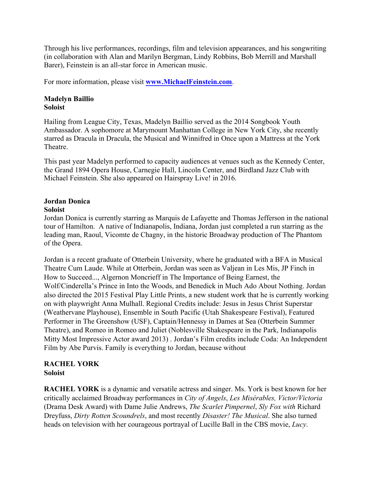Through his live performances, recordings, film and television appearances, and his songwriting (in collaboration with Alan and Marilyn Bergman, Lindy Robbins, Bob Merrill and Marshall Barer), Feinstein is an all-star force in American music.

For more information, please visit **www.MichaelFeinstein.com**.

#### **Madelyn Baillio Soloist**

Hailing from League City, Texas, Madelyn Baillio served as the 2014 Songbook Youth Ambassador. A sophomore at Marymount Manhattan College in New York City, she recently starred as Dracula in Dracula, the Musical and Winnifred in Once upon a Mattress at the York Theatre.

This past year Madelyn performed to capacity audiences at venues such as the Kennedy Center, the Grand 1894 Opera House, Carnegie Hall, Lincoln Center, and Birdland Jazz Club with Michael Feinstein. She also appeared on Hairspray Live! in 2016.

# **Jordan Donica**

#### **Soloist**

Jordan Donica is currently starring as Marquis de Lafayette and Thomas Jefferson in the national tour of Hamilton. A native of Indianapolis, Indiana, Jordan just completed a run starring as the leading man, Raoul, Vicomte de Chagny, in the historic Broadway production of The Phantom of the Opera.

Jordan is a recent graduate of Otterbein University, where he graduated with a BFA in Musical Theatre Cum Laude. While at Otterbein, Jordan was seen as Valjean in Les Mis, JP Finch in How to Succeed..., Algernon Moncrieff in The Importance of Being Earnest, the Wolf/Cinderella's Prince in Into the Woods, and Benedick in Much Ado About Nothing. Jordan also directed the 2015 Festival Play Little Prints, a new student work that he is currently working on with playwright Anna Mulhall. Regional Credits include: Jesus in Jesus Christ Superstar (Weathervane Playhouse), Ensemble in South Pacific (Utah Shakespeare Festival), Featured Performer in The Greenshow (USF), Captain/Hennessy in Dames at Sea (Otterbein Summer Theatre), and Romeo in Romeo and Juliet (Noblesville Shakespeare in the Park, Indianapolis Mitty Most Impressive Actor award 2013) . Jordan's Film credits include Coda: An Independent Film by Abe Purvis. Family is everything to Jordan, because without

## **RACHEL YORK Soloist**

**RACHEL YORK** is a dynamic and versatile actress and singer. Ms. York is best known for her critically acclaimed Broadway performances in *City of Angels*, *Les Misérables, Victor/Victoria* (Drama Desk Award) with Dame Julie Andrews, *The Scarlet Pimpernel*, *Sly Fox with* Richard Dreyfuss, *Dirty Rotten Scoundrels*, and most recently *Disaster! The Musical*. She also turned heads on television with her courageous portrayal of Lucille Ball in the CBS movie, *Lucy*.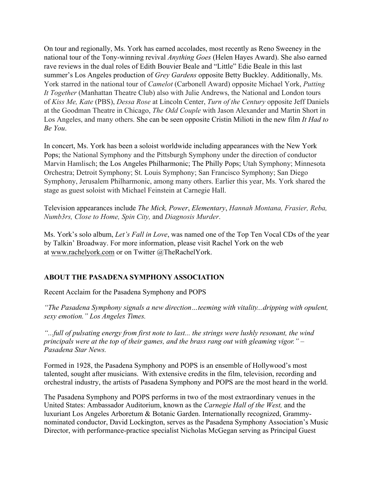On tour and regionally, Ms. York has earned accolades, most recently as Reno Sweeney in the national tour of the Tony-winning revival *Anything Goes* (Helen Hayes Award). She also earned rave reviews in the dual roles of Edith Bouvier Beale and "Little" Edie Beale in this last summer's Los Angeles production of *Grey Gardens* opposite Betty Buckley. Additionally, Ms. York starred in the national tour of *Camelot* (Carbonell Award) opposite Michael York, *Putting It Together* (Manhattan Theatre Club) also with Julie Andrews, the National and London tours of *Kiss Me, Kate* (PBS), *Dessa Rose* at Lincoln Center, *Turn of the Century* opposite Jeff Daniels at the Goodman Theatre in Chicago, *The Odd Couple* with Jason Alexander and Martin Short in Los Angeles, and many others. She can be seen opposite Cristin Milioti in the new film *It Had to Be You*.

In concert, Ms. York has been a soloist worldwide including appearances with the New York Pops; the National Symphony and the Pittsburgh Symphony under the direction of conductor Marvin Hamlisch; the Los Angeles Philharmonic; The Philly Pops; Utah Symphony; Minnesota Orchestra; Detroit Symphony; St. Louis Symphony; San Francisco Symphony; San Diego Symphony, Jerusalem Philharmonic, among many others. Earlier this year, Ms. York shared the stage as guest soloist with Michael Feinstein at Carnegie Hall.

Television appearances include *The Mick, Power*, *Elementary*, *Hannah Montana, Frasier, Reba, Numb3rs, Close to Home, Spin City,* and *Diagnosis Murder*.

Ms. York's solo album, *Let's Fall in Love*, was named one of the Top Ten Vocal CDs of the year by Talkin' Broadway. For more information, please visit Rachel York on the web at www.rachelyork.com or on Twitter @TheRachelYork.

## **ABOUT THE PASADENA SYMPHONY ASSOCIATION**

Recent Acclaim for the Pasadena Symphony and POPS

*"The Pasadena Symphony signals a new direction…teeming with vitality...dripping with opulent, sexy emotion." Los Angeles Times.* 

*"...full of pulsating energy from first note to last... the strings were lushly resonant, the wind principals were at the top of their games, and the brass rang out with gleaming vigor." – Pasadena Star News.*

Formed in 1928, the Pasadena Symphony and POPS is an ensemble of Hollywood's most talented, sought after musicians. With extensive credits in the film, television, recording and orchestral industry, the artists of Pasadena Symphony and POPS are the most heard in the world.

The Pasadena Symphony and POPS performs in two of the most extraordinary venues in the United States: Ambassador Auditorium, known as the *Carnegie Hall of the West,* and the luxuriant Los Angeles Arboretum & Botanic Garden. Internationally recognized, Grammynominated conductor, David Lockington, serves as the Pasadena Symphony Association's Music Director, with performance-practice specialist Nicholas McGegan serving as Principal Guest